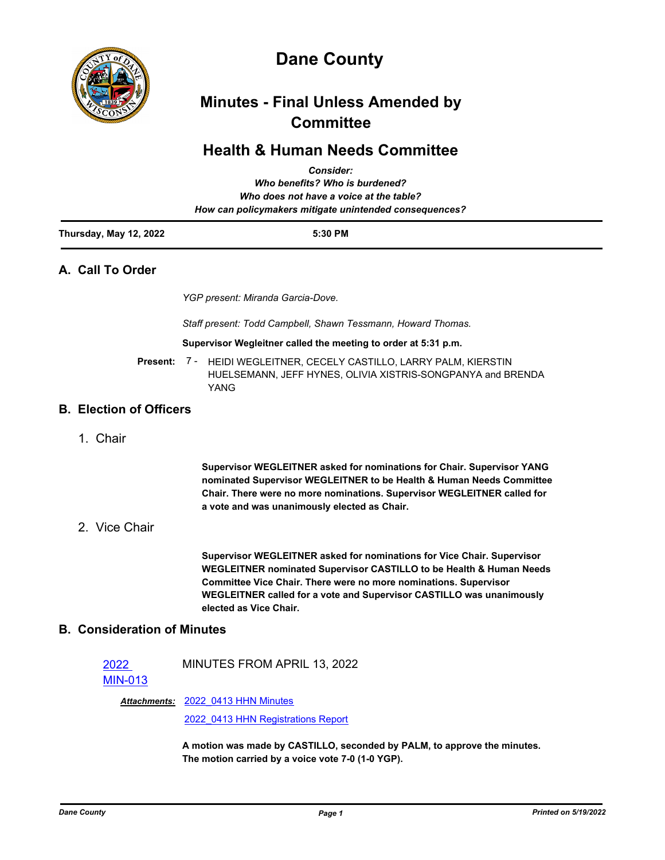

# **Dane County**

# **Minutes - Final Unless Amended by Committee**

## **Health & Human Needs Committee**

|                        | <b>Consider:</b>                                       |  |
|------------------------|--------------------------------------------------------|--|
|                        | Who benefits? Who is burdened?                         |  |
|                        | Who does not have a voice at the table?                |  |
|                        | How can policymakers mitigate unintended consequences? |  |
| Thursday, May 12, 2022 | 5:30 PM                                                |  |

## **A. Call To Order**

*YGP present: Miranda Garcia-Dove.*

*Staff present: Todd Campbell, Shawn Tessmann, Howard Thomas.*

#### **Supervisor Wegleitner called the meeting to order at 5:31 p.m.**

Present: 7 - HEIDI WEGLEITNER, CECELY CASTILLO, LARRY PALM, KIERSTIN HUELSEMANN, JEFF HYNES, OLIVIA XISTRIS-SONGPANYA and BRENDA YANG

## **B. Election of Officers**

1. Chair

**Supervisor WEGLEITNER asked for nominations for Chair. Supervisor YANG nominated Supervisor WEGLEITNER to be Health & Human Needs Committee Chair. There were no more nominations. Supervisor WEGLEITNER called for a vote and was unanimously elected as Chair.**

## 2. Vice Chair

**Supervisor WEGLEITNER asked for nominations for Vice Chair. Supervisor WEGLEITNER nominated Supervisor CASTILLO to be Health & Human Needs Committee Vice Chair. There were no more nominations. Supervisor WEGLEITNER called for a vote and Supervisor CASTILLO was unanimously elected as Vice Chair.**

## **B. Consideration of Minutes**

2022 [MIN-013](http://dane.legistar.com/gateway.aspx?m=l&id=/matter.aspx?key=22725) MINUTES FROM APRIL 13, 2022

Attachments: 2022 0413 HHN Minutes

[2022\\_0413 HHN Registrations Report](http://dane.legistar.com/gateway.aspx?M=F&ID=99e54b0b-3c0d-4225-9496-d027ceaa7cf6.pdf)

**A motion was made by CASTILLO, seconded by PALM, to approve the minutes. The motion carried by a voice vote 7-0 (1-0 YGP).**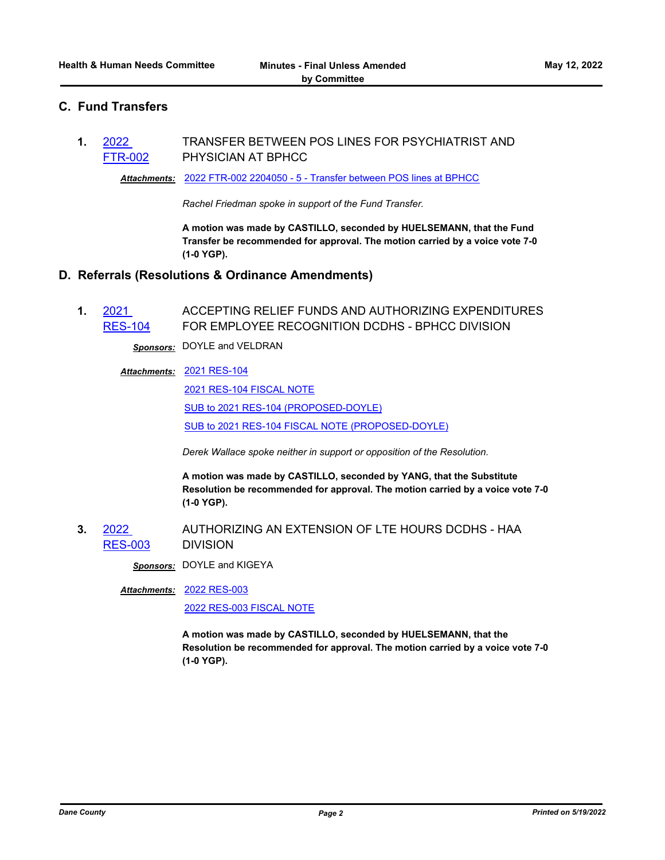## **C. Fund Transfers**

**1.** 2022 [FTR-002](http://dane.legistar.com/gateway.aspx?m=l&id=/matter.aspx?key=22770) TRANSFER BETWEEN POS LINES FOR PSYCHIATRIST AND PHYSICIAN AT BPHCC

*Attachments:* [2022 FTR-002 2204050 - 5 - Transfer between POS lines at BPHCC](http://dane.legistar.com/gateway.aspx?M=F&ID=3210e614-d2e1-496c-a35a-82c63fba4d43.pdf)

*Rachel Friedman spoke in support of the Fund Transfer.*

**A motion was made by CASTILLO, seconded by HUELSEMANN, that the Fund Transfer be recommended for approval. The motion carried by a voice vote 7-0 (1-0 YGP).**

### **D. Referrals (Resolutions & Ordinance Amendments)**

**1.** 2021 [RES-104](http://dane.legistar.com/gateway.aspx?m=l&id=/matter.aspx?key=20570) ACCEPTING RELIEF FUNDS AND AUTHORIZING EXPENDITURES FOR EMPLOYEE RECOGNITION DCDHS - BPHCC DIVISION

*Sponsors:* DOYLE and VELDRAN

#### [2021 RES-104](http://dane.legistar.com/gateway.aspx?M=F&ID=be4b4a9c-af96-49a1-8539-cf1118d3d1ce.pdf) *Attachments:*

[2021 RES-104 FISCAL NOTE](http://dane.legistar.com/gateway.aspx?M=F&ID=7d355b2a-6ad6-4f5e-a934-bd17dd4b4b7d.pdf)

[SUB to 2021 RES-104 \(PROPOSED-DOYLE\)](http://dane.legistar.com/gateway.aspx?M=F&ID=bf86d49b-1daa-4a31-9f09-148f71947d73.pdf)

[SUB to 2021 RES-104 FISCAL NOTE \(PROPOSED-DOYLE\)](http://dane.legistar.com/gateway.aspx?M=F&ID=da5bb098-8658-4827-b8a4-ff534b405e28.pdf)

*Derek Wallace spoke neither in support or opposition of the Resolution.*

**A motion was made by CASTILLO, seconded by YANG, that the Substitute Resolution be recommended for approval. The motion carried by a voice vote 7-0 (1-0 YGP).**

**3.** 2022 [RES-003](http://dane.legistar.com/gateway.aspx?m=l&id=/matter.aspx?key=22716) AUTHORIZING AN EXTENSION OF LTE HOURS DCDHS - HAA DIVISION

*Sponsors:* DOYLE and KIGEYA

[2022 RES-003](http://dane.legistar.com/gateway.aspx?M=F&ID=55bd489a-09ec-4af3-92f7-1ea04122da02.pdf) *Attachments:*

[2022 RES-003 FISCAL NOTE](http://dane.legistar.com/gateway.aspx?M=F&ID=b371b03c-cb22-4927-ad54-c1ff57643328.pdf)

**A motion was made by CASTILLO, seconded by HUELSEMANN, that the Resolution be recommended for approval. The motion carried by a voice vote 7-0 (1-0 YGP).**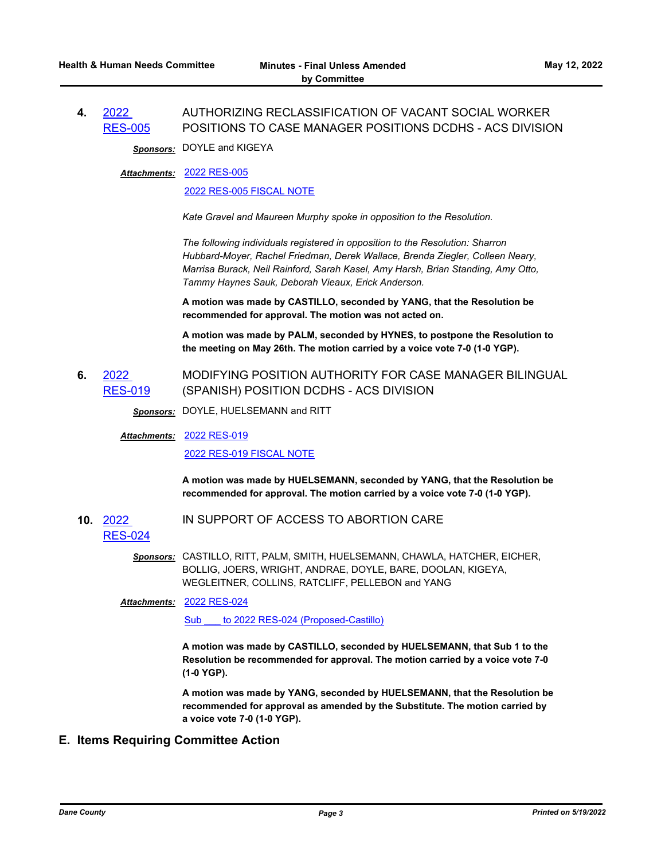#### **4.** 2022 [RES-005](http://dane.legistar.com/gateway.aspx?m=l&id=/matter.aspx?key=22772) AUTHORIZING RECLASSIFICATION OF VACANT SOCIAL WORKER POSITIONS TO CASE MANAGER POSITIONS DCDHS - ACS DIVISION

*Sponsors:* DOYLE and KIGEYA

#### [2022 RES-005](http://dane.legistar.com/gateway.aspx?M=F&ID=659c1637-efcc-4010-81c9-0b7049713882.pdf) *Attachments:*

#### [2022 RES-005 FISCAL NOTE](http://dane.legistar.com/gateway.aspx?M=F&ID=9f433291-4fa7-4e0e-95d2-7e4fc1898fc9.pdf)

*Kate Gravel and Maureen Murphy spoke in opposition to the Resolution.*

*The following individuals registered in opposition to the Resolution: Sharron Hubbard-Moyer, Rachel Friedman, Derek Wallace, Brenda Ziegler, Colleen Neary, Marrisa Burack, Neil Rainford, Sarah Kasel, Amy Harsh, Brian Standing, Amy Otto, Tammy Haynes Sauk, Deborah Vieaux, Erick Anderson.*

**A motion was made by CASTILLO, seconded by YANG, that the Resolution be recommended for approval. The motion was not acted on.**

**A motion was made by PALM, seconded by HYNES, to postpone the Resolution to the meeting on May 26th. The motion carried by a voice vote 7-0 (1-0 YGP).**

**6.** 2022 [RES-019](http://dane.legistar.com/gateway.aspx?m=l&id=/matter.aspx?key=22816) MODIFYING POSITION AUTHORITY FOR CASE MANAGER BILINGUAL (SPANISH) POSITION DCDHS - ACS DIVISION

*Sponsors:* DOYLE, HUELSEMANN and RITT

[2022 RES-019](http://dane.legistar.com/gateway.aspx?M=F&ID=c4ce2d3a-6eb5-428b-8ebf-f1a6c635bf25.pdf) *Attachments:*

[2022 RES-019 FISCAL NOTE](http://dane.legistar.com/gateway.aspx?M=F&ID=a96dfd1d-1358-4817-8d90-09ed4ee90698.pdf)

**A motion was made by HUELSEMANN, seconded by YANG, that the Resolution be recommended for approval. The motion carried by a voice vote 7-0 (1-0 YGP).**

**10.** 2022 IN SUPPORT OF ACCESS TO ABORTION CARE

[RES-024](http://dane.legistar.com/gateway.aspx?m=l&id=/matter.aspx?key=22826)

*Sponsors:* CASTILLO, RITT, PALM, SMITH, HUELSEMANN, CHAWLA, HATCHER, EICHER, BOLLIG, JOERS, WRIGHT, ANDRAE, DOYLE, BARE, DOOLAN, KIGEYA, WEGLEITNER, COLLINS, RATCLIFF, PELLEBON and YANG

#### [2022 RES-024](http://dane.legistar.com/gateway.aspx?M=F&ID=61046dfe-fff8-4e0a-8f00-d2f36d3c9936.pdf) *Attachments:*

Sub to 2022 RES-024 (Proposed-Castillo)

**A motion was made by CASTILLO, seconded by HUELSEMANN, that Sub 1 to the Resolution be recommended for approval. The motion carried by a voice vote 7-0 (1-0 YGP).**

**A motion was made by YANG, seconded by HUELSEMANN, that the Resolution be recommended for approval as amended by the Substitute. The motion carried by a voice vote 7-0 (1-0 YGP).**

## **E. Items Requiring Committee Action**